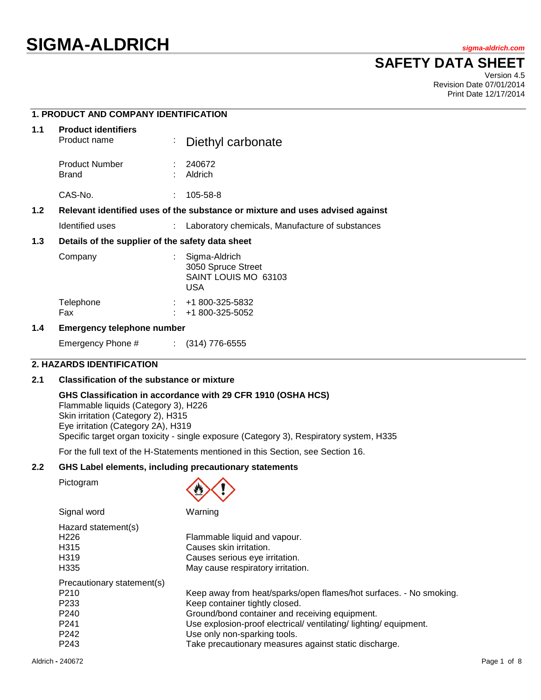# **SIGMA-ALDRICH** *sigma-aldrich.com*

## **SAFETY DATA SHEET**

Version 4.5 Revision Date 07/01/2014 Print Date 12/17/2014

|     | <b>1. PRODUCT AND COMPANY IDENTIFICATION</b>                                  |   |                                                                    |  |
|-----|-------------------------------------------------------------------------------|---|--------------------------------------------------------------------|--|
| 1.1 | <b>Product identifiers</b><br>Product name                                    | ÷ | Diethyl carbonate                                                  |  |
|     | <b>Product Number</b><br><b>Brand</b>                                         |   | : 240672<br>Aldrich                                                |  |
|     | CAS-No.                                                                       |   | 105-58-8                                                           |  |
| 1.2 | Relevant identified uses of the substance or mixture and uses advised against |   |                                                                    |  |
|     | Identified uses                                                               |   | : Laboratory chemicals, Manufacture of substances                  |  |
| 1.3 | Details of the supplier of the safety data sheet                              |   |                                                                    |  |
|     | Company                                                                       |   | Sigma-Aldrich<br>3050 Spruce Street<br>SAINT LOUIS MO 63103<br>USA |  |

## **1.4 Emergency telephone number**

Emergency Phone # : (314) 776-6555

Telephone : +1 800-325-5832 Fax : +1 800-325-5052

## **2. HAZARDS IDENTIFICATION**

## **2.1 Classification of the substance or mixture**

**GHS Classification in accordance with 29 CFR 1910 (OSHA HCS)**

Flammable liquids (Category 3), H226 Skin irritation (Category 2), H315 Eye irritation (Category 2A), H319 Specific target organ toxicity - single exposure (Category 3), Respiratory system, H335

For the full text of the H-Statements mentioned in this Section, see Section 16.

#### **2.2 GHS Label elements, including precautionary statements**

Pictogram



| Signal word                | Warning                                                            |
|----------------------------|--------------------------------------------------------------------|
| Hazard statement(s)        |                                                                    |
| H <sub>226</sub>           | Flammable liquid and vapour.                                       |
| H <sub>315</sub>           | Causes skin irritation.                                            |
| H <sub>319</sub>           | Causes serious eye irritation.                                     |
| H <sub>335</sub>           | May cause respiratory irritation.                                  |
| Precautionary statement(s) |                                                                    |
| P <sub>210</sub>           | Keep away from heat/sparks/open flames/hot surfaces. - No smoking. |
| P <sub>233</sub>           | Keep container tightly closed.                                     |
| P <sub>240</sub>           | Ground/bond container and receiving equipment.                     |
| P <sub>241</sub>           | Use explosion-proof electrical/ ventilating/ lighting/ equipment.  |
| P <sub>242</sub>           | Use only non-sparking tools.                                       |
| P <sub>243</sub>           | Take precautionary measures against static discharge.              |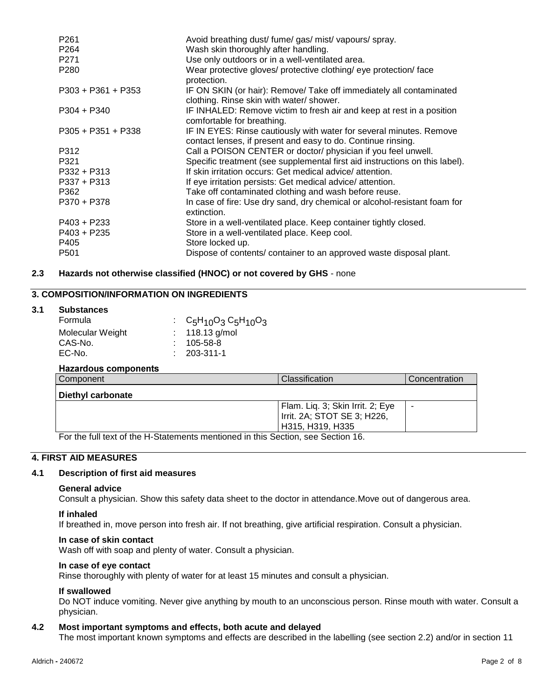| Avoid breathing dust/ fume/ gas/ mist/ vapours/ spray.                                                                              |
|-------------------------------------------------------------------------------------------------------------------------------------|
| Wash skin thoroughly after handling.                                                                                                |
| Use only outdoors or in a well-ventilated area.                                                                                     |
| Wear protective gloves/ protective clothing/ eye protection/ face<br>protection.                                                    |
| IF ON SKIN (or hair): Remove/ Take off immediately all contaminated<br>clothing. Rinse skin with water/ shower.                     |
| IF INHALED: Remove victim to fresh air and keep at rest in a position<br>comfortable for breathing.                                 |
| IF IN EYES: Rinse cautiously with water for several minutes. Remove<br>contact lenses, if present and easy to do. Continue rinsing. |
| Call a POISON CENTER or doctor/ physician if you feel unwell.                                                                       |
| Specific treatment (see supplemental first aid instructions on this label).                                                         |
| If skin irritation occurs: Get medical advice/attention.                                                                            |
| If eye irritation persists: Get medical advice/attention.                                                                           |
| Take off contaminated clothing and wash before reuse.                                                                               |
| In case of fire: Use dry sand, dry chemical or alcohol-resistant foam for<br>extinction.                                            |
| Store in a well-ventilated place. Keep container tightly closed.                                                                    |
| Store in a well-ventilated place. Keep cool.                                                                                        |
| Store locked up.                                                                                                                    |
| Dispose of contents/ container to an approved waste disposal plant.                                                                 |
|                                                                                                                                     |

## **2.3 Hazards not otherwise classified (HNOC) or not covered by GHS** - none

## **3. COMPOSITION/INFORMATION ON INGREDIENTS**

## **3.1 Substances**

| Formula          | : $C_5H_{10}O_3C_5H_{10}O_3$ |
|------------------|------------------------------|
| Molecular Weight | : $118.13$ g/mol             |
| CAS-No.          | $: 105 - 58 - 8$             |
| EC-No.           | $: 203 - 311 - 1$            |
|                  |                              |

## **Hazardous components**

| Classification                   | Concentration               |
|----------------------------------|-----------------------------|
|                                  |                             |
| Flam. Liq. 3; Skin Irrit. 2; Eye | -                           |
| H315, H319, H335                 |                             |
|                                  | Irrit. 2A; STOT SE 3; H226, |

For the full text of the H-Statements mentioned in this Section, see Section 16.

## **4. FIRST AID MEASURES**

## **4.1 Description of first aid measures**

#### **General advice**

Consult a physician. Show this safety data sheet to the doctor in attendance.Move out of dangerous area.

#### **If inhaled**

If breathed in, move person into fresh air. If not breathing, give artificial respiration. Consult a physician.

#### **In case of skin contact**

Wash off with soap and plenty of water. Consult a physician.

## **In case of eye contact**

Rinse thoroughly with plenty of water for at least 15 minutes and consult a physician.

#### **If swallowed**

Do NOT induce vomiting. Never give anything by mouth to an unconscious person. Rinse mouth with water. Consult a physician.

## **4.2 Most important symptoms and effects, both acute and delayed**

The most important known symptoms and effects are described in the labelling (see section 2.2) and/or in section 11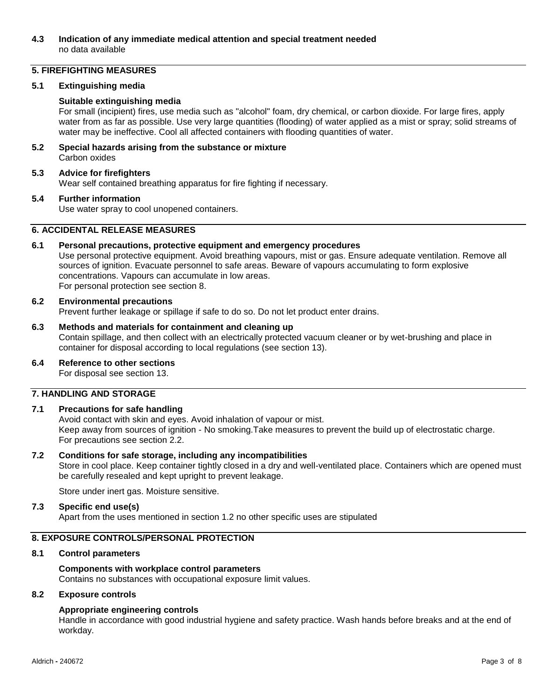## **4.3 Indication of any immediate medical attention and special treatment needed** no data available

## **5. FIREFIGHTING MEASURES**

## **5.1 Extinguishing media**

## **Suitable extinguishing media**

For small (incipient) fires, use media such as "alcohol" foam, dry chemical, or carbon dioxide. For large fires, apply water from as far as possible. Use very large quantities (flooding) of water applied as a mist or spray; solid streams of water may be ineffective. Cool all affected containers with flooding quantities of water.

**5.2 Special hazards arising from the substance or mixture** Carbon oxides

## **5.3 Advice for firefighters**

Wear self contained breathing apparatus for fire fighting if necessary.

#### **5.4 Further information**

Use water spray to cool unopened containers.

## **6. ACCIDENTAL RELEASE MEASURES**

## **6.1 Personal precautions, protective equipment and emergency procedures**

Use personal protective equipment. Avoid breathing vapours, mist or gas. Ensure adequate ventilation. Remove all sources of ignition. Evacuate personnel to safe areas. Beware of vapours accumulating to form explosive concentrations. Vapours can accumulate in low areas. For personal protection see section 8.

#### **6.2 Environmental precautions**

Prevent further leakage or spillage if safe to do so. Do not let product enter drains.

## **6.3 Methods and materials for containment and cleaning up**

Contain spillage, and then collect with an electrically protected vacuum cleaner or by wet-brushing and place in container for disposal according to local regulations (see section 13).

## **6.4 Reference to other sections**

For disposal see section 13.

## **7. HANDLING AND STORAGE**

## **7.1 Precautions for safe handling**

Avoid contact with skin and eyes. Avoid inhalation of vapour or mist. Keep away from sources of ignition - No smoking.Take measures to prevent the build up of electrostatic charge. For precautions see section 2.2.

## **7.2 Conditions for safe storage, including any incompatibilities**

Store in cool place. Keep container tightly closed in a dry and well-ventilated place. Containers which are opened must be carefully resealed and kept upright to prevent leakage.

Store under inert gas. Moisture sensitive.

## **7.3 Specific end use(s)**

Apart from the uses mentioned in section 1.2 no other specific uses are stipulated

## **8. EXPOSURE CONTROLS/PERSONAL PROTECTION**

## **8.1 Control parameters**

## **Components with workplace control parameters**

Contains no substances with occupational exposure limit values.

## **8.2 Exposure controls**

## **Appropriate engineering controls**

Handle in accordance with good industrial hygiene and safety practice. Wash hands before breaks and at the end of workday.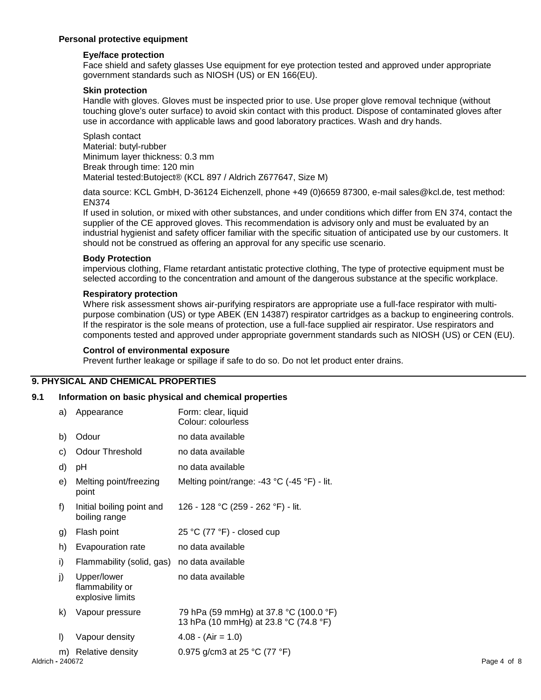## **Personal protective equipment**

## **Eye/face protection**

Face shield and safety glasses Use equipment for eye protection tested and approved under appropriate government standards such as NIOSH (US) or EN 166(EU).

## **Skin protection**

Handle with gloves. Gloves must be inspected prior to use. Use proper glove removal technique (without touching glove's outer surface) to avoid skin contact with this product. Dispose of contaminated gloves after use in accordance with applicable laws and good laboratory practices. Wash and dry hands.

Splash contact Material: butyl-rubber Minimum layer thickness: 0.3 mm Break through time: 120 min Material tested:Butoject® (KCL 897 / Aldrich Z677647, Size M)

data source: KCL GmbH, D-36124 Eichenzell, phone +49 (0)6659 87300, e-mail sales@kcl.de, test method: EN374

If used in solution, or mixed with other substances, and under conditions which differ from EN 374, contact the supplier of the CE approved gloves. This recommendation is advisory only and must be evaluated by an industrial hygienist and safety officer familiar with the specific situation of anticipated use by our customers. It should not be construed as offering an approval for any specific use scenario.

## **Body Protection**

impervious clothing, Flame retardant antistatic protective clothing, The type of protective equipment must be selected according to the concentration and amount of the dangerous substance at the specific workplace.

## **Respiratory protection**

Where risk assessment shows air-purifying respirators are appropriate use a full-face respirator with multipurpose combination (US) or type ABEK (EN 14387) respirator cartridges as a backup to engineering controls. If the respirator is the sole means of protection, use a full-face supplied air respirator. Use respirators and components tested and approved under appropriate government standards such as NIOSH (US) or CEN (EU).

## **Control of environmental exposure**

Prevent further leakage or spillage if safe to do so. Do not let product enter drains.

## **9. PHYSICAL AND CHEMICAL PROPERTIES**

## **9.1 Information on basic physical and chemical properties**

|                  | a) | Appearance                                         | Form: clear, liquid<br>Colour: colourless                                       |             |
|------------------|----|----------------------------------------------------|---------------------------------------------------------------------------------|-------------|
|                  | b) | Odour                                              | no data available                                                               |             |
|                  | C) | Odour Threshold                                    | no data available                                                               |             |
|                  | d) | рH                                                 | no data available                                                               |             |
|                  | e) | Melting point/freezing<br>point                    | Melting point/range: -43 °C (-45 °F) - lit.                                     |             |
|                  | f) | Initial boiling point and<br>boiling range         | 126 - 128 °C (259 - 262 °F) - lit.                                              |             |
|                  | g) | Flash point                                        | 25 °C (77 °F) - closed cup                                                      |             |
|                  | h) | Evapouration rate                                  | no data available                                                               |             |
|                  | i) | Flammability (solid, gas)                          | no data available                                                               |             |
|                  | j) | Upper/lower<br>flammability or<br>explosive limits | no data available                                                               |             |
|                  | k) | Vapour pressure                                    | 79 hPa (59 mmHg) at 37.8 °C (100.0 °F)<br>13 hPa (10 mmHg) at 23.8 °C (74.8 °F) |             |
|                  | I) | Vapour density                                     | $4.08 - (Air = 1.0)$                                                            |             |
|                  |    | m) Relative density                                | 0.975 g/cm3 at 25 °C (77 °F)                                                    |             |
| Aldrich - 240672 |    |                                                    |                                                                                 | Page 4 of 8 |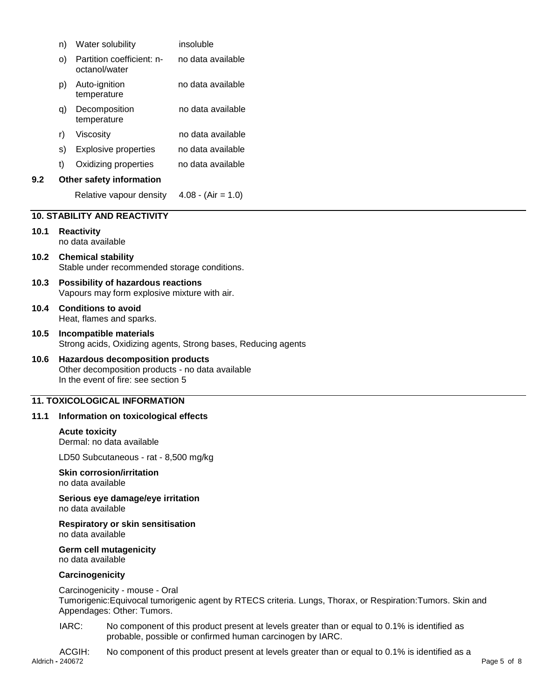|      | n)                                                                                        | Water solubility                                                                                                                   | insoluble                                                                                                                                                  |
|------|-------------------------------------------------------------------------------------------|------------------------------------------------------------------------------------------------------------------------------------|------------------------------------------------------------------------------------------------------------------------------------------------------------|
|      | O)                                                                                        | Partition coefficient: n-<br>octanol/water                                                                                         | no data available                                                                                                                                          |
|      | p)                                                                                        | Auto-ignition<br>temperature                                                                                                       | no data available                                                                                                                                          |
|      | q)                                                                                        | Decomposition<br>temperature                                                                                                       | no data available                                                                                                                                          |
|      | r)                                                                                        | Viscosity                                                                                                                          | no data available                                                                                                                                          |
|      | S)                                                                                        | <b>Explosive properties</b>                                                                                                        | no data available                                                                                                                                          |
|      | t)                                                                                        | Oxidizing properties                                                                                                               | no data available                                                                                                                                          |
| 9.2  |                                                                                           | Other safety information                                                                                                           |                                                                                                                                                            |
|      |                                                                                           | Relative vapour density                                                                                                            | $4.08 - (Air = 1.0)$                                                                                                                                       |
|      |                                                                                           | <b>10. STABILITY AND REACTIVITY</b>                                                                                                |                                                                                                                                                            |
| 10.1 |                                                                                           | <b>Reactivity</b>                                                                                                                  |                                                                                                                                                            |
|      |                                                                                           | no data available                                                                                                                  |                                                                                                                                                            |
| 10.2 |                                                                                           | <b>Chemical stability</b><br>Stable under recommended storage conditions.                                                          |                                                                                                                                                            |
| 10.3 | <b>Possibility of hazardous reactions</b><br>Vapours may form explosive mixture with air. |                                                                                                                                    |                                                                                                                                                            |
| 10.4 | <b>Conditions to avoid</b><br>Heat, flames and sparks.                                    |                                                                                                                                    |                                                                                                                                                            |
| 10.5 |                                                                                           | Incompatible materials                                                                                                             | Strong acids, Oxidizing agents, Strong bases, Reducing agents                                                                                              |
| 10.6 |                                                                                           | <b>Hazardous decomposition products</b><br>Other decomposition products - no data available<br>In the event of fire: see section 5 |                                                                                                                                                            |
|      |                                                                                           | <b>11. TOXICOLOGICAL INFORMATION</b>                                                                                               |                                                                                                                                                            |
| 11.1 |                                                                                           | Information on toxicological effects                                                                                               |                                                                                                                                                            |
|      |                                                                                           | <b>Acute toxicity</b><br>Dermal: no data available                                                                                 |                                                                                                                                                            |
|      |                                                                                           | LD50 Subcutaneous - rat - 8,500 mg/kg                                                                                              |                                                                                                                                                            |
|      |                                                                                           | <b>Skin corrosion/irritation</b><br>no data available                                                                              |                                                                                                                                                            |
|      |                                                                                           | Serious eye damage/eye irritation<br>no data available                                                                             |                                                                                                                                                            |
|      |                                                                                           | <b>Respiratory or skin sensitisation</b><br>no data available                                                                      |                                                                                                                                                            |
|      |                                                                                           | Germ cell mutagenicity<br>no data available                                                                                        |                                                                                                                                                            |
|      |                                                                                           | Carcinogenicity                                                                                                                    |                                                                                                                                                            |
|      |                                                                                           | Carcinogenicity - mouse - Oral<br>Appendages: Other: Tumors.                                                                       | Tumorigenic: Equivocal tumorigenic agent by RTECS criteria. Lungs, Thorax, or Respiration: Tumors. Skin and                                                |
|      | IARC:                                                                                     |                                                                                                                                    | No component of this product present at levels greater than or equal to 0.1% is identified as<br>probable, possible or confirmed human carcinogen by IARC. |
|      |                                                                                           | ACGIH <sup>.</sup>                                                                                                                 | No component of this product present at levels greater than or equal to 0.1% is identified as a                                                            |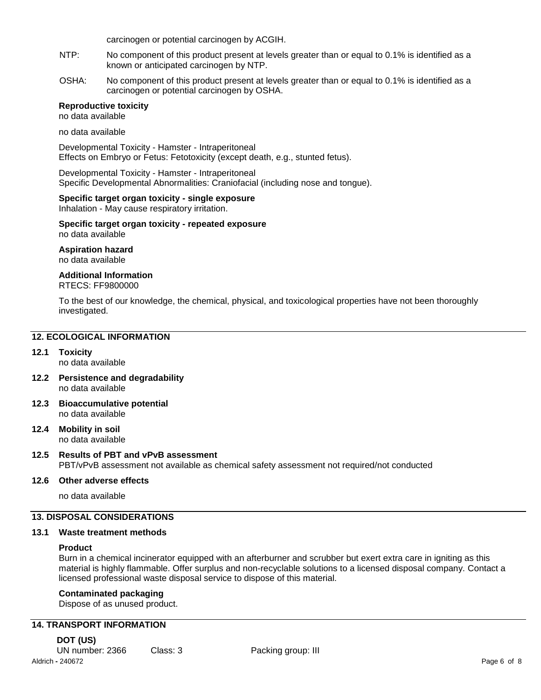carcinogen or potential carcinogen by ACGIH.

- NTP: No component of this product present at levels greater than or equal to 0.1% is identified as a known or anticipated carcinogen by NTP.
- OSHA: No component of this product present at levels greater than or equal to 0.1% is identified as a carcinogen or potential carcinogen by OSHA.

## **Reproductive toxicity**

no data available

no data available

Developmental Toxicity - Hamster - Intraperitoneal Effects on Embryo or Fetus: Fetotoxicity (except death, e.g., stunted fetus).

Developmental Toxicity - Hamster - Intraperitoneal Specific Developmental Abnormalities: Craniofacial (including nose and tongue).

#### **Specific target organ toxicity - single exposure**

Inhalation - May cause respiratory irritation.

#### **Specific target organ toxicity - repeated exposure** no data available

**Aspiration hazard** no data available

## **Additional Information**

## RTECS: FF9800000

To the best of our knowledge, the chemical, physical, and toxicological properties have not been thoroughly investigated.

## **12. ECOLOGICAL INFORMATION**

## **12.1 Toxicity**

- no data available
- **12.2 Persistence and degradability** no data available
- **12.3 Bioaccumulative potential** no data available
- **12.4 Mobility in soil** no data available

## **12.5 Results of PBT and vPvB assessment** PBT/vPvB assessment not available as chemical safety assessment not required/not conducted

## **12.6 Other adverse effects**

no data available

## **13. DISPOSAL CONSIDERATIONS**

#### **13.1 Waste treatment methods**

#### **Product**

Burn in a chemical incinerator equipped with an afterburner and scrubber but exert extra care in igniting as this material is highly flammable. Offer surplus and non-recyclable solutions to a licensed disposal company. Contact a licensed professional waste disposal service to dispose of this material.

## **Contaminated packaging**

Dispose of as unused product.

## **14. TRANSPORT INFORMATION**

Aldrich **-** 240672 Page 6 of 8 **DOT (US)** UN number: 2366 Class: 3 Packing group: III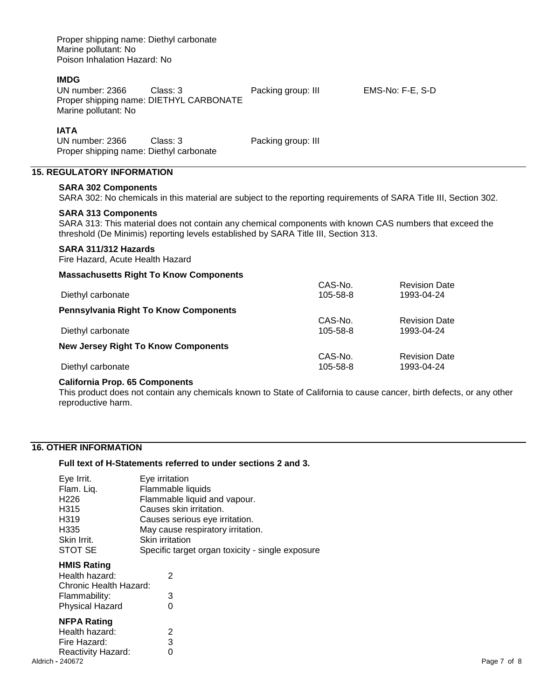| Proper shipping name: Diethyl carbonate<br>Marine pollutant: No<br>Poison Inhalation Hazard: No                                                                                                                              |                                                     |                     |  |                                                                                                                   |  |
|------------------------------------------------------------------------------------------------------------------------------------------------------------------------------------------------------------------------------|-----------------------------------------------------|---------------------|--|-------------------------------------------------------------------------------------------------------------------|--|
| <b>IMDG</b><br>UN number: 2366<br>Marine pollutant: No                                                                                                                                                                       | Class: 3<br>Proper shipping name: DIETHYL CARBONATE | Packing group: III  |  | EMS-No: F-E, S-D                                                                                                  |  |
| <b>IATA</b><br>UN number: 2366<br>Proper shipping name: Diethyl carbonate                                                                                                                                                    | Class: 3                                            | Packing group: III  |  |                                                                                                                   |  |
| <b>15. REGULATORY INFORMATION</b>                                                                                                                                                                                            |                                                     |                     |  |                                                                                                                   |  |
| <b>SARA 302 Components</b>                                                                                                                                                                                                   |                                                     |                     |  | SARA 302: No chemicals in this material are subject to the reporting requirements of SARA Title III, Section 302. |  |
| <b>SARA 313 Components</b><br>SARA 313: This material does not contain any chemical components with known CAS numbers that exceed the<br>threshold (De Minimis) reporting levels established by SARA Title III, Section 313. |                                                     |                     |  |                                                                                                                   |  |
| SARA 311/312 Hazards<br>Fire Hazard, Acute Health Hazard                                                                                                                                                                     |                                                     |                     |  |                                                                                                                   |  |
|                                                                                                                                                                                                                              | <b>Massachusetts Right To Know Components</b>       |                     |  |                                                                                                                   |  |
| Diethyl carbonate                                                                                                                                                                                                            |                                                     | CAS-No.<br>105-58-8 |  | <b>Revision Date</b><br>1993-04-24                                                                                |  |
|                                                                                                                                                                                                                              | <b>Pennsylvania Right To Know Components</b>        |                     |  |                                                                                                                   |  |
| Diethyl carbonate                                                                                                                                                                                                            |                                                     | CAS-No.<br>105-58-8 |  | <b>Revision Date</b><br>1993-04-24                                                                                |  |
| <b>New Jersey Right To Know Components</b>                                                                                                                                                                                   |                                                     |                     |  |                                                                                                                   |  |
| Diethyl carbonate                                                                                                                                                                                                            |                                                     | CAS-No.<br>105-58-8 |  | <b>Revision Date</b><br>1993-04-24                                                                                |  |

## **California Prop. 65 Components**

This product does not contain any chemicals known to State of California to cause cancer, birth defects, or any other reproductive harm.

## **16. OTHER INFORMATION**

## **Full text of H-Statements referred to under sections 2 and 3.**

| Eye Irrit.             | Eye irritation                                   |
|------------------------|--------------------------------------------------|
| Flam. Liq.             | Flammable liquids                                |
| H <sub>226</sub>       | Flammable liquid and vapour.                     |
| H315                   | Causes skin irritation.                          |
| H <sub>3</sub> 19      | Causes serious eye irritation.                   |
| H335                   | May cause respiratory irritation.                |
| Skin Irrit.            | <b>Skin irritation</b>                           |
| STOT SE                | Specific target organ toxicity - single exposure |
| <b>HMIS Rating</b>     |                                                  |
| Health hazard:         | 2                                                |
| Chronic Health Hazard: |                                                  |
| Flammability:          | 3                                                |
| <b>Physical Hazard</b> | 0                                                |
| <b>NFPA Rating</b>     |                                                  |